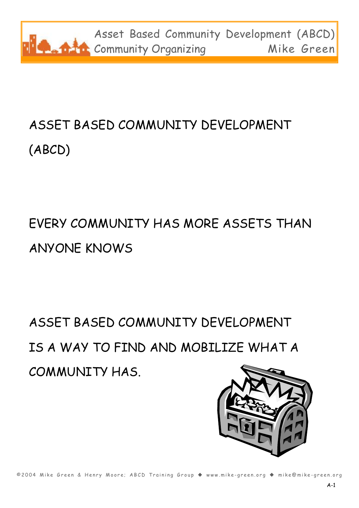

# ASSET BASED COMMUNITY DEVELOPMENT (ABCD)

## EVERY COMMUNITY HAS MORE ASSETS THAN ANYONE KNOWS

ASSET BASED COMMUNITY DEVELOPMENT IS A WAY TO FIND AND MOBILIZE WHAT A COMMUNITY HAS.



©2004 Mike Green & Henry Moore; ABCD Training Group ◆ www.mike-green.org ◆ mike@mike-green.org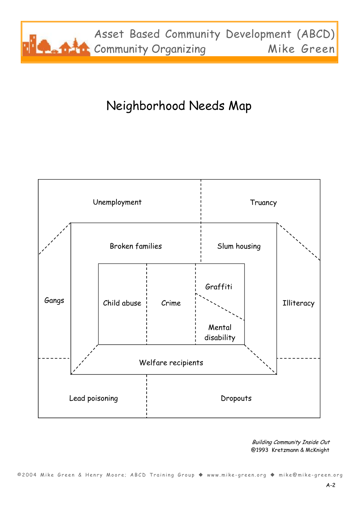

### Neighborhood Needs Map



Building Community Inside Out @1993 Kretzmann & McKnight

©2004 Mike Green & Henry Moore; ABCD Training Group ◆ www.mike-green.org ◆ mike@mike-green.org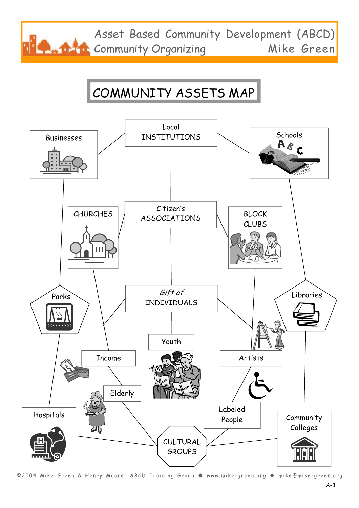Asset Based Community Development (ABCD) **The Community Organizing Mike Green** 

### COMMUNITY ASSETS MAP



©2004 Mike Green & Henry Moore; ABCD Training Group ◆ www.mike-green.org ◆ mike@mike-green.org